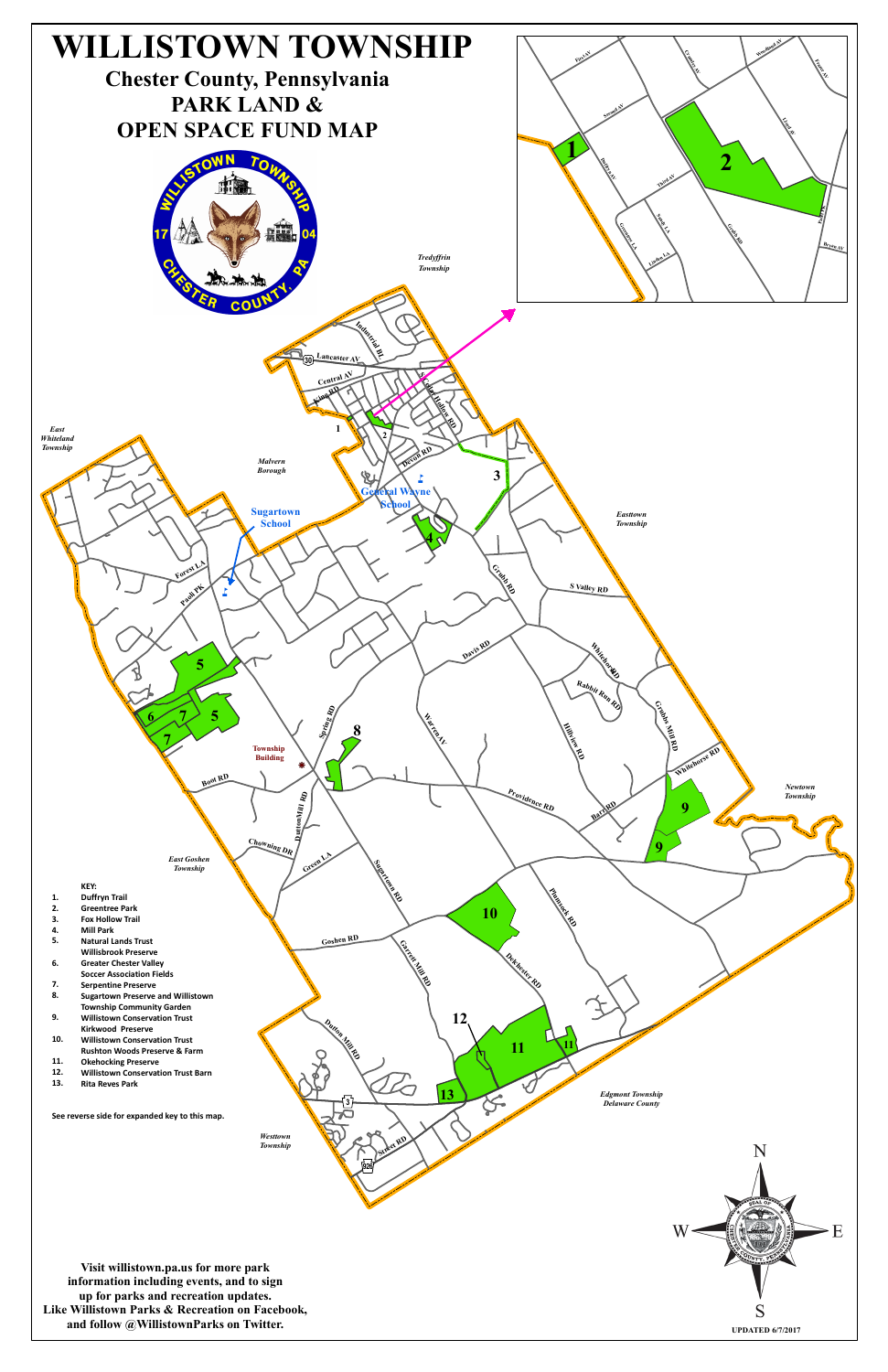

- 
- 
- 
- 
-